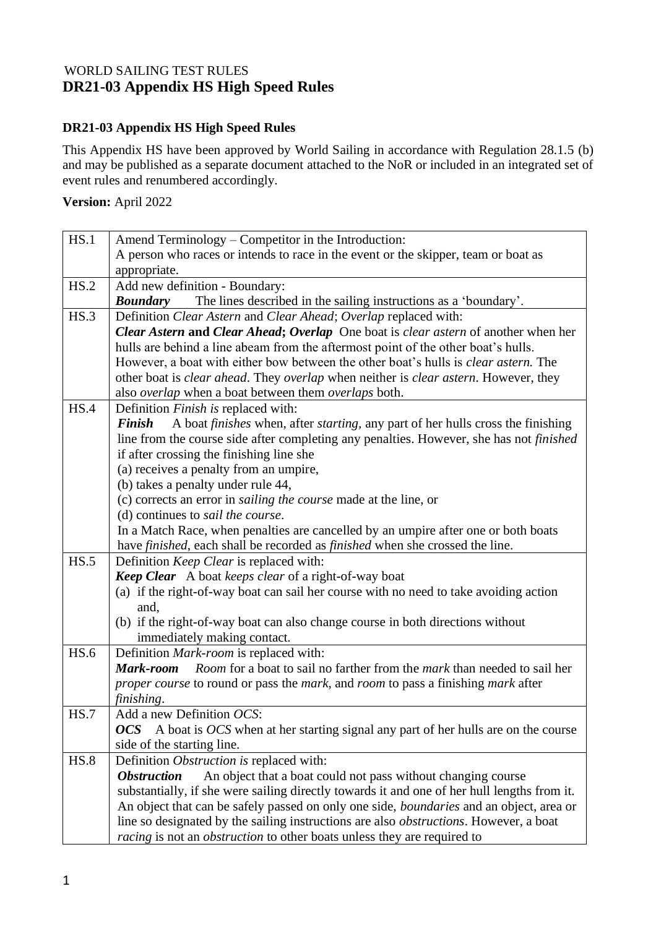## WORLD SAILING TEST RULES **DR21-03 Appendix HS High Speed Rules**

## **DR21-03 Appendix HS High Speed Rules**

This Appendix HS have been approved by World Sailing in accordance with Regulation 28.1.5 (b) and may be published as a separate document attached to the NoR or included in an integrated set of event rules and renumbered accordingly.

## **Version:** April 2022

| HS.1 | Amend Terminology – Competitor in the Introduction:                                                                                                                                         |
|------|---------------------------------------------------------------------------------------------------------------------------------------------------------------------------------------------|
|      | A person who races or intends to race in the event or the skipper, team or boat as                                                                                                          |
|      | appropriate.                                                                                                                                                                                |
| HS.2 | Add new definition - Boundary:                                                                                                                                                              |
|      | The lines described in the sailing instructions as a 'boundary'.<br><b>Boundary</b>                                                                                                         |
| HS.3 | Definition Clear Astern and Clear Ahead; Overlap replaced with:                                                                                                                             |
|      | Clear Astern and Clear Ahead; Overlap One boat is clear astern of another when her                                                                                                          |
|      | hulls are behind a line abeam from the aftermost point of the other boat's hulls.                                                                                                           |
|      | However, a boat with either bow between the other boat's hulls is <i>clear astern</i> . The                                                                                                 |
|      | other boat is <i>clear ahead</i> . They <i>overlap</i> when neither is <i>clear astern</i> . However, they                                                                                  |
|      | also <i>overlap</i> when a boat between them <i>overlaps</i> both.                                                                                                                          |
| HS.4 | Definition Finish is replaced with:                                                                                                                                                         |
|      | A boat finishes when, after starting, any part of her hulls cross the finishing<br><b>Finish</b><br>line from the course side after completing any penalties. However, she has not finished |
|      | if after crossing the finishing line she                                                                                                                                                    |
|      | (a) receives a penalty from an umpire,                                                                                                                                                      |
|      | (b) takes a penalty under rule 44,                                                                                                                                                          |
|      | (c) corrects an error in <i>sailing the course</i> made at the line, or                                                                                                                     |
|      | (d) continues to sail the course.                                                                                                                                                           |
|      | In a Match Race, when penalties are cancelled by an umpire after one or both boats                                                                                                          |
|      | have <i>finished</i> , each shall be recorded as <i>finished</i> when she crossed the line.                                                                                                 |
| HS.5 | Definition Keep Clear is replaced with:                                                                                                                                                     |
|      | Keep Clear A boat keeps clear of a right-of-way boat                                                                                                                                        |
|      | (a) if the right-of-way boat can sail her course with no need to take avoiding action                                                                                                       |
|      | and,                                                                                                                                                                                        |
|      | (b) if the right-of-way boat can also change course in both directions without                                                                                                              |
| HS.6 | immediately making contact.                                                                                                                                                                 |
|      | Definition Mark-room is replaced with:<br>Mark-room<br><i>Room</i> for a boat to sail no farther from the <i>mark</i> than needed to sail her                                               |
|      | <i>proper course</i> to round or pass the <i>mark</i> , and <i>room</i> to pass a finishing <i>mark</i> after                                                                               |
|      | finishing.                                                                                                                                                                                  |
| HS.7 | Add a new Definition OCS:                                                                                                                                                                   |
|      | <b>OCS</b> A boat is OCS when at her starting signal any part of her hulls are on the course                                                                                                |
|      | side of the starting line.                                                                                                                                                                  |
| HS.8 | Definition Obstruction is replaced with:                                                                                                                                                    |
|      | <b>Obstruction</b><br>An object that a boat could not pass without changing course                                                                                                          |
|      | substantially, if she were sailing directly towards it and one of her hull lengths from it.                                                                                                 |
|      | An object that can be safely passed on only one side, <i>boundaries</i> and an object, area or                                                                                              |
|      | line so designated by the sailing instructions are also <i>obstructions</i> . However, a boat                                                                                               |
|      | <i>racing</i> is not an <i>obstruction</i> to other boats unless they are required to                                                                                                       |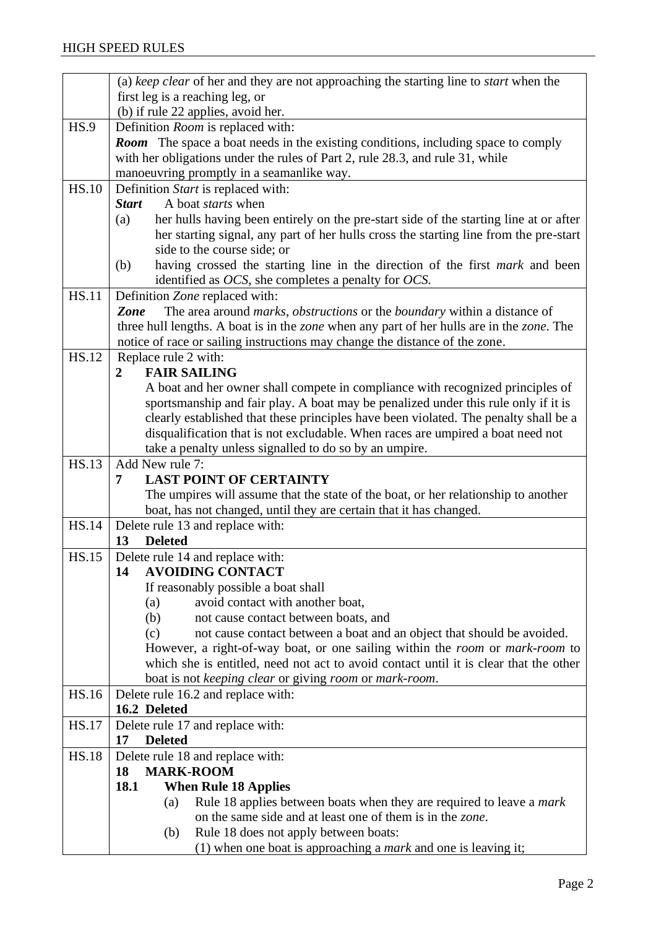|              | (a) keep clear of her and they are not approaching the starting line to <i>start</i> when the                                                                                       |
|--------------|-------------------------------------------------------------------------------------------------------------------------------------------------------------------------------------|
|              | first leg is a reaching leg, or                                                                                                                                                     |
|              | (b) if rule 22 applies, avoid her.                                                                                                                                                  |
| HS.9         | Definition <i>Room</i> is replaced with:                                                                                                                                            |
|              | <b>Room</b> The space a boat needs in the existing conditions, including space to comply                                                                                            |
|              | with her obligations under the rules of Part 2, rule 28.3, and rule 31, while                                                                                                       |
|              | manoeuvring promptly in a seamanlike way.                                                                                                                                           |
| <b>HS.10</b> | Definition Start is replaced with:                                                                                                                                                  |
|              | A boat <i>starts</i> when<br><b>Start</b>                                                                                                                                           |
|              | her hulls having been entirely on the pre-start side of the starting line at or after<br>(a)                                                                                        |
|              | her starting signal, any part of her hulls cross the starting line from the pre-start                                                                                               |
|              | side to the course side; or                                                                                                                                                         |
|              | having crossed the starting line in the direction of the first <i>mark</i> and been<br>(b)                                                                                          |
|              | identified as $OCS$ , she completes a penalty for $OCS$ .                                                                                                                           |
| <b>HS.11</b> | Definition Zone replaced with:                                                                                                                                                      |
|              | The area around <i>marks</i> , <i>obstructions</i> or the <i>boundary</i> within a distance of<br>Zone                                                                              |
|              | three hull lengths. A boat is in the zone when any part of her hulls are in the zone. The                                                                                           |
| <b>HS.12</b> | notice of race or sailing instructions may change the distance of the zone.                                                                                                         |
|              | Replace rule 2 with:<br><b>FAIR SAILING</b><br>$\overline{2}$                                                                                                                       |
|              | A boat and her owner shall compete in compliance with recognized principles of                                                                                                      |
|              | sportsmanship and fair play. A boat may be penalized under this rule only if it is                                                                                                  |
|              | clearly established that these principles have been violated. The penalty shall be a                                                                                                |
|              | disqualification that is not excludable. When races are umpired a boat need not                                                                                                     |
|              | take a penalty unless signalled to do so by an umpire.                                                                                                                              |
| <b>HS.13</b> | Add New rule 7:                                                                                                                                                                     |
|              | <b>LAST POINT OF CERTAINTY</b><br>7                                                                                                                                                 |
|              | The umpires will assume that the state of the boat, or her relationship to another                                                                                                  |
|              | boat, has not changed, until they are certain that it has changed.                                                                                                                  |
| <b>HS.14</b> | Delete rule 13 and replace with:                                                                                                                                                    |
|              | <b>Deleted</b><br>13                                                                                                                                                                |
| <b>HS.15</b> | Delete rule 14 and replace with:                                                                                                                                                    |
|              | <b>AVOIDING CONTACT</b><br>14                                                                                                                                                       |
|              | If reasonably possible a boat shall                                                                                                                                                 |
|              | avoid contact with another boat,<br>(a)                                                                                                                                             |
|              | not cause contact between boats, and<br>(b)                                                                                                                                         |
|              | (c)<br>not cause contact between a boat and an object that should be avoided.                                                                                                       |
|              | However, a right-of-way boat, or one sailing within the <i>room</i> or <i>mark-room</i> to<br>which she is entitled, need not act to avoid contact until it is clear that the other |
|              | boat is not keeping clear or giving room or mark-room.                                                                                                                              |
| HS.16        | Delete rule 16.2 and replace with:                                                                                                                                                  |
|              | 16.2 Deleted                                                                                                                                                                        |
| <b>HS.17</b> | Delete rule 17 and replace with:                                                                                                                                                    |
|              | <b>Deleted</b><br>17                                                                                                                                                                |
| <b>HS.18</b> | Delete rule 18 and replace with:                                                                                                                                                    |
|              | <b>MARK-ROOM</b><br>18                                                                                                                                                              |
|              | <b>18.1</b><br><b>When Rule 18 Applies</b>                                                                                                                                          |
|              | Rule 18 applies between boats when they are required to leave a mark<br>(a)                                                                                                         |
|              | on the same side and at least one of them is in the zone.                                                                                                                           |
|              | Rule 18 does not apply between boats:<br>(b)                                                                                                                                        |
|              | (1) when one boat is approaching a mark and one is leaving it;                                                                                                                      |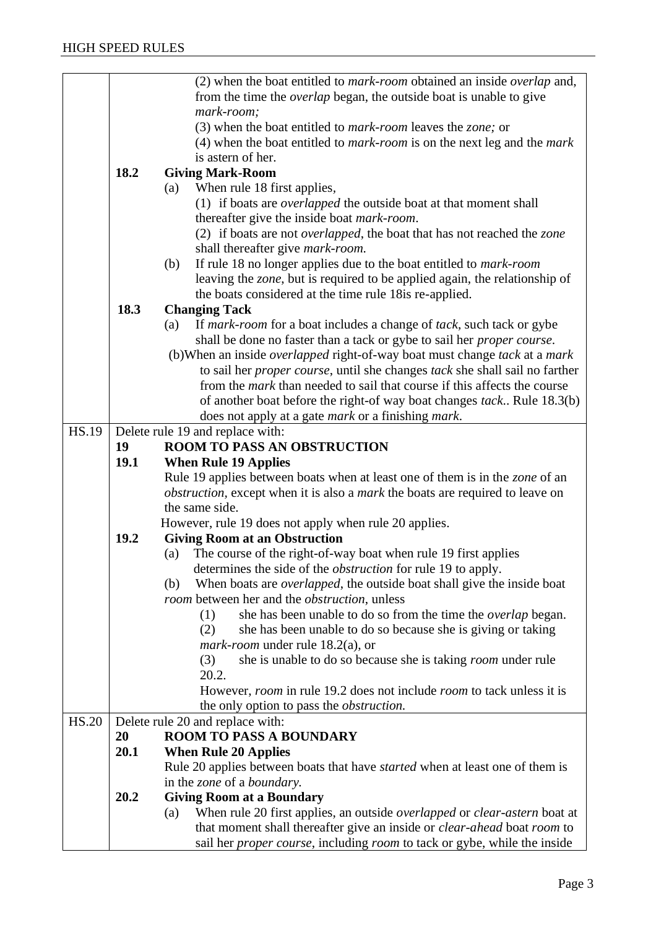|              |      | (2) when the boat entitled to <i>mark-room</i> obtained an inside <i>overlap</i> and,                                                                                            |
|--------------|------|----------------------------------------------------------------------------------------------------------------------------------------------------------------------------------|
|              |      |                                                                                                                                                                                  |
|              |      | from the time the <i>overlap</i> began, the outside boat is unable to give                                                                                                       |
|              |      | mark-room;                                                                                                                                                                       |
|              |      | (3) when the boat entitled to <i>mark-room</i> leaves the <i>zone</i> ; or                                                                                                       |
|              |      | $(4)$ when the boat entitled to <i>mark-room</i> is on the next leg and the <i>mark</i>                                                                                          |
|              |      | is astern of her.                                                                                                                                                                |
|              | 18.2 | <b>Giving Mark-Room</b>                                                                                                                                                          |
|              |      | When rule 18 first applies,<br>(a)                                                                                                                                               |
|              |      | (1) if boats are <i>overlapped</i> the outside boat at that moment shall                                                                                                         |
|              |      | thereafter give the inside boat <i>mark-room</i> .                                                                                                                               |
|              |      | (2) if boats are not <i>overlapped</i> , the boat that has not reached the <i>zone</i>                                                                                           |
|              |      | shall thereafter give <i>mark-room</i> .                                                                                                                                         |
|              |      | If rule 18 no longer applies due to the boat entitled to <i>mark-room</i><br>(b)                                                                                                 |
|              |      | leaving the <i>zone</i> , but is required to be applied again, the relationship of                                                                                               |
|              |      |                                                                                                                                                                                  |
|              |      | the boats considered at the time rule 18 is re-applied.                                                                                                                          |
|              | 18.3 | <b>Changing Tack</b>                                                                                                                                                             |
|              |      | If mark-room for a boat includes a change of tack, such tack or gybe<br>(a)                                                                                                      |
|              |      | shall be done no faster than a tack or gybe to sail her <i>proper course</i> .                                                                                                   |
|              |      | (b) When an inside <i>overlapped</i> right-of-way boat must change tack at a mark                                                                                                |
|              |      | to sail her <i>proper course</i> , until she changes tack she shall sail no farther                                                                                              |
|              |      | from the <i>mark</i> than needed to sail that course if this affects the course                                                                                                  |
|              |      | of another boat before the right-of way boat changes tack Rule 18.3(b)                                                                                                           |
|              |      | does not apply at a gate <i>mark</i> or a finishing <i>mark</i> .                                                                                                                |
| <b>HS.19</b> |      | Delete rule 19 and replace with:                                                                                                                                                 |
|              | 19   | <b>ROOM TO PASS AN OBSTRUCTION</b>                                                                                                                                               |
|              | 19.1 | <b>When Rule 19 Applies</b>                                                                                                                                                      |
|              |      | Rule 19 applies between boats when at least one of them is in the zone of an                                                                                                     |
|              |      | <i>obstruction</i> , except when it is also a <i>mark</i> the boats are required to leave on                                                                                     |
|              |      | the same side.                                                                                                                                                                   |
|              |      | However, rule 19 does not apply when rule 20 applies.                                                                                                                            |
|              | 19.2 | <b>Giving Room at an Obstruction</b>                                                                                                                                             |
|              |      | The course of the right-of-way boat when rule 19 first applies<br>(a)                                                                                                            |
|              |      | determines the side of the <i>obstruction</i> for rule 19 to apply.                                                                                                              |
|              |      | When boats are <i>overlapped</i> , the outside boat shall give the inside boat<br>(b)                                                                                            |
|              |      | <i>room</i> between her and the <i>obstruction</i> , unless                                                                                                                      |
|              |      |                                                                                                                                                                                  |
|              |      | she has been unable to do so from the time the <i>overlap</i> began.<br>(1)                                                                                                      |
|              |      | she has been unable to do so because she is giving or taking<br>(2)                                                                                                              |
|              |      | <i>mark-room</i> under rule 18.2(a), or                                                                                                                                          |
|              |      | she is unable to do so because she is taking <i>room</i> under rule<br>(3)                                                                                                       |
|              |      | 20.2.                                                                                                                                                                            |
|              |      | However, <i>room</i> in rule 19.2 does not include <i>room</i> to tack unless it is                                                                                              |
|              |      | the only option to pass the <i>obstruction</i> .                                                                                                                                 |
| <b>HS.20</b> |      | Delete rule 20 and replace with:                                                                                                                                                 |
|              | 20   | <b>ROOM TO PASS A BOUNDARY</b>                                                                                                                                                   |
|              |      |                                                                                                                                                                                  |
|              | 20.1 | <b>When Rule 20 Applies</b>                                                                                                                                                      |
|              |      | Rule 20 applies between boats that have <i>started</i> when at least one of them is                                                                                              |
|              |      | in the zone of a boundary.                                                                                                                                                       |
|              | 20.2 |                                                                                                                                                                                  |
|              |      | <b>Giving Room at a Boundary</b><br>(a)                                                                                                                                          |
|              |      | When rule 20 first applies, an outside <i>overlapped</i> or <i>clear-astern</i> boat at<br>that moment shall thereafter give an inside or <i>clear-ahead</i> boat <i>room</i> to |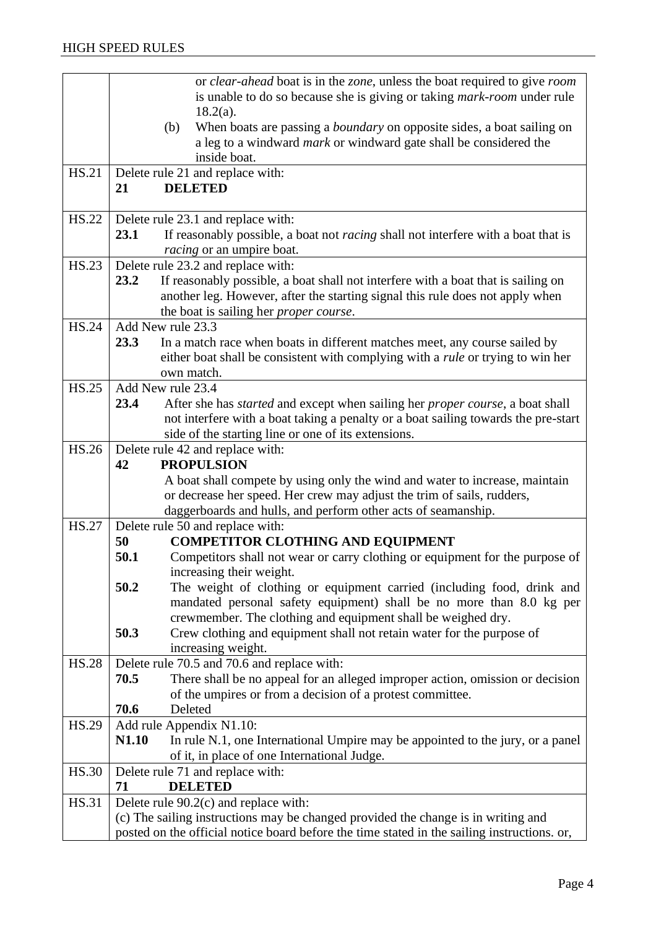|              | or clear-ahead boat is in the zone, unless the boat required to give room                                                                                                          |
|--------------|------------------------------------------------------------------------------------------------------------------------------------------------------------------------------------|
|              | is unable to do so because she is giving or taking <i>mark-room</i> under rule                                                                                                     |
|              | $18.2(a)$ .<br>When boats are passing a <i>boundary</i> on opposite sides, a boat sailing on<br>(b)                                                                                |
|              | a leg to a windward <i>mark</i> or windward gate shall be considered the                                                                                                           |
|              | inside boat.                                                                                                                                                                       |
| HS.21        | Delete rule 21 and replace with:                                                                                                                                                   |
|              | <b>DELETED</b><br>21                                                                                                                                                               |
| <b>HS.22</b> | Delete rule 23.1 and replace with:                                                                                                                                                 |
|              | 23.1<br>If reasonably possible, a boat not <i>racing</i> shall not interfere with a boat that is                                                                                   |
|              | racing or an umpire boat.                                                                                                                                                          |
| <b>HS.23</b> | Delete rule 23.2 and replace with:                                                                                                                                                 |
|              | 23.2<br>If reasonably possible, a boat shall not interfere with a boat that is sailing on                                                                                          |
|              | another leg. However, after the starting signal this rule does not apply when                                                                                                      |
|              | the boat is sailing her <i>proper course</i> .                                                                                                                                     |
| <b>HS.24</b> | Add New rule 23.3                                                                                                                                                                  |
|              | 23.3<br>In a match race when boats in different matches meet, any course sailed by                                                                                                 |
|              | either boat shall be consistent with complying with a <i>rule</i> or trying to win her                                                                                             |
|              | own match.                                                                                                                                                                         |
| <b>HS.25</b> | Add New rule 23.4<br>23.4                                                                                                                                                          |
|              | After she has <i>started</i> and except when sailing her <i>proper course</i> , a boat shall<br>not interfere with a boat taking a penalty or a boat sailing towards the pre-start |
|              | side of the starting line or one of its extensions.                                                                                                                                |
| <b>HS.26</b> | Delete rule 42 and replace with:                                                                                                                                                   |
|              | <b>PROPULSION</b><br>42                                                                                                                                                            |
|              | A boat shall compete by using only the wind and water to increase, maintain                                                                                                        |
|              | or decrease her speed. Her crew may adjust the trim of sails, rudders,                                                                                                             |
|              | daggerboards and hulls, and perform other acts of seamanship.                                                                                                                      |
| HS.27        | Delete rule 50 and replace with:                                                                                                                                                   |
|              | <b>COMPETITOR CLOTHING AND EQUIPMENT</b><br>50                                                                                                                                     |
|              | 50.1<br>Competitors shall not wear or carry clothing or equipment for the purpose of                                                                                               |
|              | increasing their weight.                                                                                                                                                           |
|              | 50.2<br>The weight of clothing or equipment carried (including food, drink and                                                                                                     |
|              | mandated personal safety equipment) shall be no more than 8.0 kg per                                                                                                               |
|              | crewmember. The clothing and equipment shall be weighed dry.<br>Crew clothing and equipment shall not retain water for the purpose of<br>50.3                                      |
|              | increasing weight.                                                                                                                                                                 |
| <b>HS.28</b> | Delete rule 70.5 and 70.6 and replace with:                                                                                                                                        |
|              | There shall be no appeal for an alleged improper action, omission or decision<br>70.5                                                                                              |
|              | of the umpires or from a decision of a protest committee.                                                                                                                          |
|              | 70.6<br>Deleted                                                                                                                                                                    |
| HS.29        | Add rule Appendix N1.10:                                                                                                                                                           |
|              | N1.10<br>In rule N.1, one International Umpire may be appointed to the jury, or a panel                                                                                            |
|              | of it, in place of one International Judge.                                                                                                                                        |
| <b>HS.30</b> | Delete rule 71 and replace with:                                                                                                                                                   |
|              | <b>DELETED</b><br>71                                                                                                                                                               |
| <b>HS.31</b> | Delete rule 90.2(c) and replace with:                                                                                                                                              |
|              | (c) The sailing instructions may be changed provided the change is in writing and                                                                                                  |
|              | posted on the official notice board before the time stated in the sailing instructions. or,                                                                                        |